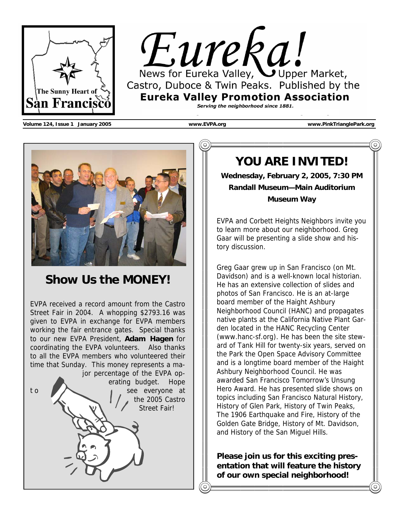

Eureka Valley, Upper Market, Castro, Duboce & Twin Peaks. Published by the **Eureka Valley Promotion Association** Serving the neighborhood since 1881.

**Volume 124, Issue 1 January 2005 www.EVPA.org www.PinkTrianglePark.org** 



# **Show Us the MONEY!**

EVPA received a record amount from the Castro Street Fair in 2004. A whopping \$2793.16 was given to EVPA in exchange for EVPA members working the fair entrance gates. Special thanks to our new EVPA President, **Adam Hagen** for coordinating the EVPA volunteers. Also thanks to all the EVPA members who volunteered their time that Sunday. This money represents a major percentage of the EVPA operating budget. Hope to **the seed everyone at** the 2005 Castro Street Fair!

# **YOU ARE INVITED!**

**Wednesday, February 2, 2005, 7:30 PM Randall Museum—Main Auditorium Museum Way** 

EVPA and Corbett Heights Neighbors invite you to learn more about our neighborhood. Greg Gaar will be presenting a slide show and history discussion.

Greg Gaar grew up in San Francisco (on Mt. Davidson) and is a well-known local historian. He has an extensive collection of slides and photos of San Francisco. He is an at-large board member of the Haight Ashbury Neighborhood Council (HANC) and propagates native plants at the California Native Plant Garden located in the HANC Recycling Center (www.hanc-sf.org). He has been the site steward of Tank Hill for twenty-six years, served on the Park the Open Space Advisory Committee and is a longtime board member of the Haight Ashbury Neighborhood Council. He was awarded San Francisco Tomorrow's Unsung Hero Award. He has presented slide shows on topics including San Francisco Natural History, History of Glen Park, History of Twin Peaks, The 1906 Earthquake and Fire, History of the Golden Gate Bridge, History of Mt. Davidson, and History of the San Miguel Hills.

**Please join us for this exciting presentation that will feature the history of our own special neighborhood!** 

**The lecture and slide show are free,**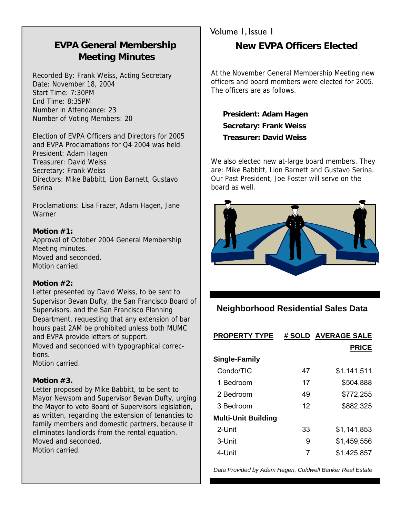## **EVPA General Membership Meeting Minutes**

Recorded By: Frank Weiss, Acting Secretary Date: November 18, 2004 Start Time: 7:30PM End Time: 8:35PM Number in Attendance: 23 Number of Voting Members: 20

Election of EVPA Officers and Directors for 2005 and EVPA Proclamations for Q4 2004 was held. President: Adam Hagen Treasurer: David Weiss Secretary: Frank Weiss Directors: Mike Babbitt, Lion Barnett, Gustavo Serina

Proclamations: Lisa Frazer, Adam Hagen, Jane Warner

#### **Motion #1:**

Approval of October 2004 General Membership Meeting minutes. Moved and seconded. Motion carried.

#### **Motion #2:**

Letter presented by David Weiss, to be sent to Supervisor Bevan Dufty, the San Francisco Board of Supervisors, and the San Francisco Planning

Department, requesting that any extension of bar hours past 2AM be prohibited unless both MUMC and EVPA provide letters of support.

Moved and seconded with typographical corrections.

Motion carried.

#### **Motion #3.**

Letter proposed by Mike Babbitt, to be sent to Mayor Newsom and Supervisor Bevan Dufty, urging the Mayor to veto Board of Supervisors legislation, as written, regarding the extension of tenancies to family members and domestic partners, because it eliminates landlords from the rental equation. Moved and seconded. Motion carried.

### Volume 1, Issue 1 **New EVPA Officers Elected**

At the November General Membership Meeting new officers and board members were elected for 2005. The officers are as follows.

 **President: Adam Hagen Secretary: Frank Weiss Treasurer: David Weiss** 

We also elected new at-large board members. They are: Mike Babbitt, Lion Barnett and Gustavo Serina. Our Past President, Joe Foster will serve on the board as well.



### **Neighborhood Residential Sales Data**

| <b>PROPERTY TYPE</b>       |    | # SOLD AVERAGE SALE |
|----------------------------|----|---------------------|
|                            |    | <b>PRICE</b>        |
| <b>Single-Family</b>       |    |                     |
| Condo/TIC                  | 47 | \$1,141,511         |
| 1 Bedroom                  | 17 | \$504,888           |
| 2 Bedroom                  | 49 | \$772,255           |
| 3 Bedroom                  | 12 | \$882,325           |
| <b>Multi-Unit Building</b> |    |                     |
| 2-Unit                     | 33 | \$1,141,853         |
| 3-Unit                     | 9  | \$1,459,556         |
| 4-Unit                     | 7  | \$1,425,857         |

*Data Provided by Adam Hagen, Coldwell Banker Real Estate*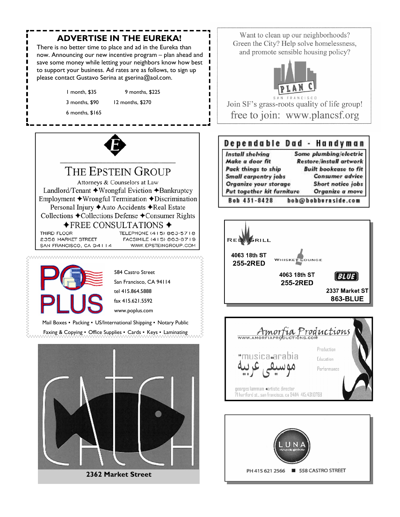### **ADVERTISE IN THE EUREKA!**

There is no better time to place and ad in the Eureka than now. Announcing our new incentive program – plan ahead and save some money while letting your neighbors know how best to support your business. Ad rates are as follows, to sign up please contact Gustavo Serina at gserina@aol.com.

1 month, \$35 9 months, \$225

3 months, \$90 12 months, \$270

6 months, \$165



THE EPSTEIN GROUP Attorneys & Counselors at Law Landlord/Tenant ◆Wrongful Eviction ◆Bankruptcy Employment ◆Wrongful Termination ◆Discrimination Personal Injury ◆ Auto Accidents ◆ Real Estate Collections ◆Collections Defense ◆Consumer Rights  $\bigstar$ FREE CONSULTATIONS  $\bigstar$ TELEPHONE (415) 863-5718 THIRD FLOOR

2358 MARKET STREET SAN FRANCISCO, CA 94114

FACSIMILE (415) 863-8719 WWW.EPSTEINGROUP.COM



Mail Boxes • Packing • US/International Shipping • Notary Public

Faxing & Copying • Office Supplies • Cards • Keys • Laminating



**2362 Market Street** 

Want to clean up our neighborhoods? Green the City? Help solve homelessness, and promote sensible housing policy?



FRANCISCO Join SF's grass-roots quality of life group! free to join: www.plancsf.org

#### Dependable Dad - Handyman

| Install shelving           | Some plumbing/electric         |  |
|----------------------------|--------------------------------|--|
| Make a door fit            | <b>Restore/install artwork</b> |  |
| Pack things to ship        | <b>Built bookcase to fit</b>   |  |
| Small carpentry jobs       | <b>Consumer advice</b>         |  |
| Organize your storage      | Short notice jobs              |  |
| Put together kit furniture | Organize a move                |  |
| Bob 431-8428               | bob@bobburnside.com            |  |